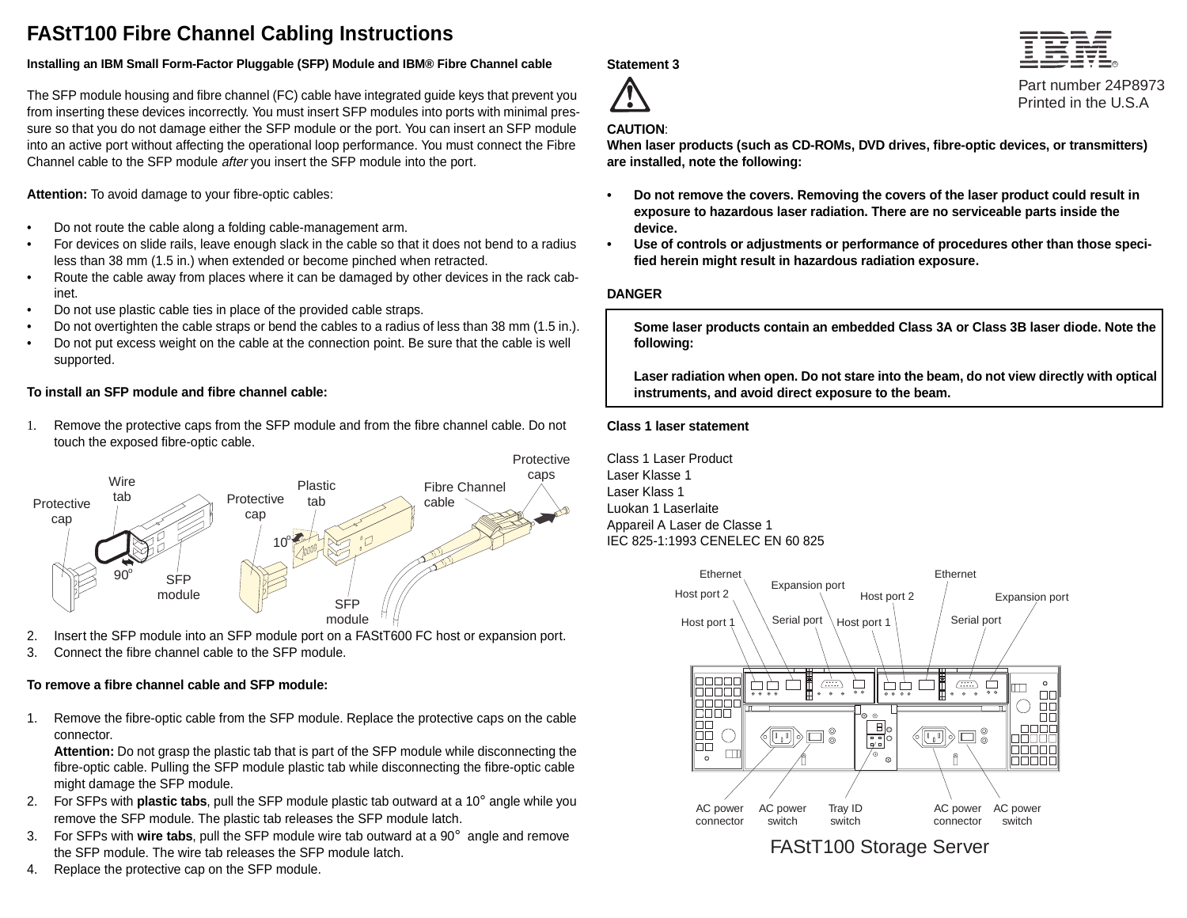# **FAStT100 Fibre Channel Cabling Instructions**

### **Installing an IBM Small Form-Factor Pluggable (SFP) Module and IBM® Fibre Channel cable**

The SFP module housing and fibre channel (FC) cable have integrated guide keys that prevent you from inserting these devices incorrectly. You must insert SFP modules into ports with minimal pressure so that you do not damage either the SFP module or the port. You can insert an SFP module into an active port without affecting the operational loop performance. You must connect the Fibre Channel cable to the SFP module after you insert the SFP module into the port.

**Attention:** To avoid damage to your fibre-optic cables:

- •Do not route the cable along a folding cable-management arm.
- • For devices on slide rails, leave enough slack in the cable so that it does not bend to a radius less than 38 mm (1.5 in.) when extended or become pinched when retracted.
- • Route the cable away from places where it can be damaged by other devices in the rack cabinet.
- •Do not use plastic cable ties in place of the provided cable straps.
- •Do not overtighten the cable straps or bend the cables to a radius of less than 38 mm (1.5 in.).
- • Do not put excess weight on the cable at the connection point. Be sure that the cable is well supported.

## **To install an SFP module and fibre channel cable:**

1. Remove the protective caps from the SFP module and from the fibre channel cable. Do not touch the exposed fibre-optic cable.



- 2. Insert the SFP module into an SFP module port on a FAStT600 FC host or expansion port.
- 3. Connect the fibre channel cable to the SFP module.

# **To remove a fibre channel cable and SFP module:**

1. Remove the fibre-optic cable from the SFP module. Replace the protective caps on the cable connector.

**Attention:** Do not grasp the plastic tab that is part of the SFP module while disconnecting the fibre-optic cable. Pulling the SFP module plastic tab while disconnecting the fibre-optic cable might damage the SFP module.

- 2. For SFPs with **plastic tabs**, pull the SFP module plastic tab outward at a 10° angle while you remove the SFP module. The plastic tab releases the SFP module latch.
- 3. For SFPs with **wire tabs**, pull the SFP module wire tab outward at a 90° angle and remove the SFP module. The wire tab releases the SFP module latch.
- 4. Replace the protective cap on the SFP module.

**Statement 3**



Printed in the U.S.APart number 24P8973

### **CAUTION**:

**When laser products (such as CD-ROMs, DVD drives, fibre-optic devices, or transmitters) are installed, note the following:**

- **• Do not remove the covers. Removing the covers of the laser product could result in exposure to hazardous laser radiation. There are no serviceable parts inside the device.**
- **• Use of controls or adjustments or performance of procedures other than those specified herein might result in hazardous radiation exposure.**

### **DANGER**

**Some laser products contain an embedded Class 3A or Class 3B laser diode. Note the following:**

**Laser radiation when open. Do not stare into the beam, do not view directly with optical instruments, and avoid direct exposure to the beam.**

#### **Class 1 laser statement**

Class 1 Laser ProductLaser Klasse 1Laser Klass 1Luokan 1 LaserlaiteAppareil A Laser de Classe 1 IEC 825-1:1993 CENELEC EN 60 825



# FAStT100 Storage Server